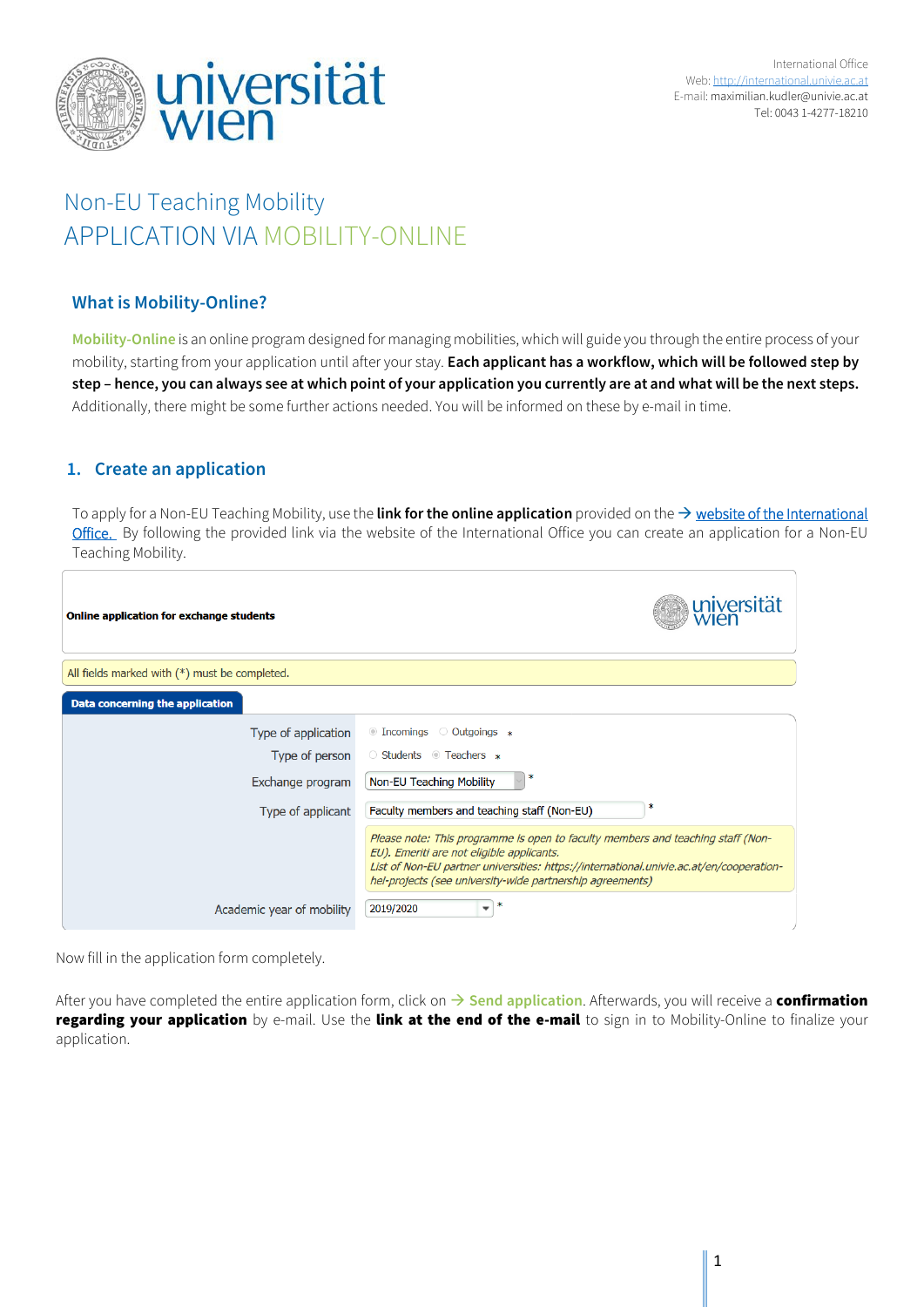

# Non-EU Teaching Mobility APPLICATION VIA MOBILITY-ONLINE

## **What is Mobility-Online?**

**Mobility-Online** is an online program designed for managing mobilities, which will guide you through the entire process of your mobility, starting from your application until after your stay. **Each applicant has a workflow, which will be followed step by step – hence, you can always see at which point of your application you currently are at and what will be the next steps.**  Additionally, there might be some further actions needed. You will be informed on these by e-mail in time.

## **1. Create an application**

To apply for a Non-EU Teaching Mobility, use the **link for the online application** provided on the  $\rightarrow$  website of the International [Office.](https://international.univie.ac.at/faculty-staff-mobility/teachers/incoming-mobility/non-eu-teaching-mobility/) By following the provided link via the website of the International Office you can create an application for a Non-EU Teaching Mobility.

| Online application for exchange students      | universität                                                                                                                                                                                                                                                                          |  |  |
|-----------------------------------------------|--------------------------------------------------------------------------------------------------------------------------------------------------------------------------------------------------------------------------------------------------------------------------------------|--|--|
| All fields marked with (*) must be completed. |                                                                                                                                                                                                                                                                                      |  |  |
| Data concerning the application               |                                                                                                                                                                                                                                                                                      |  |  |
| Type of application                           | $\circ$ Incomings $\circ$ Outgoings $*$                                                                                                                                                                                                                                              |  |  |
| Type of person                                | ○ Students ● Teachers *                                                                                                                                                                                                                                                              |  |  |
| Exchange program                              | <b>Non-EU Teaching Mobility</b>                                                                                                                                                                                                                                                      |  |  |
| Type of applicant                             | Faculty members and teaching staff (Non-EU)                                                                                                                                                                                                                                          |  |  |
|                                               | Please note: This programme is open to faculty members and teaching staff (Non-<br>EU). Emeriti are not eligible applicants.<br>List of Non-EU partner universities: https://international.univie.ac.at/en/cooperation-<br>hei-projects (see university-wide partnership agreements) |  |  |
| Academic year of mobility                     | ж<br>2019/2020<br>▼                                                                                                                                                                                                                                                                  |  |  |

Now fill in the application form completely.

After you have completed the entire application form, click on  $\rightarrow$  Send application. Afterwards, you will receive a **confirmation** regarding your application by e-mail. Use the link at the end of the e-mail to sign in to Mobility-Online to finalize your application.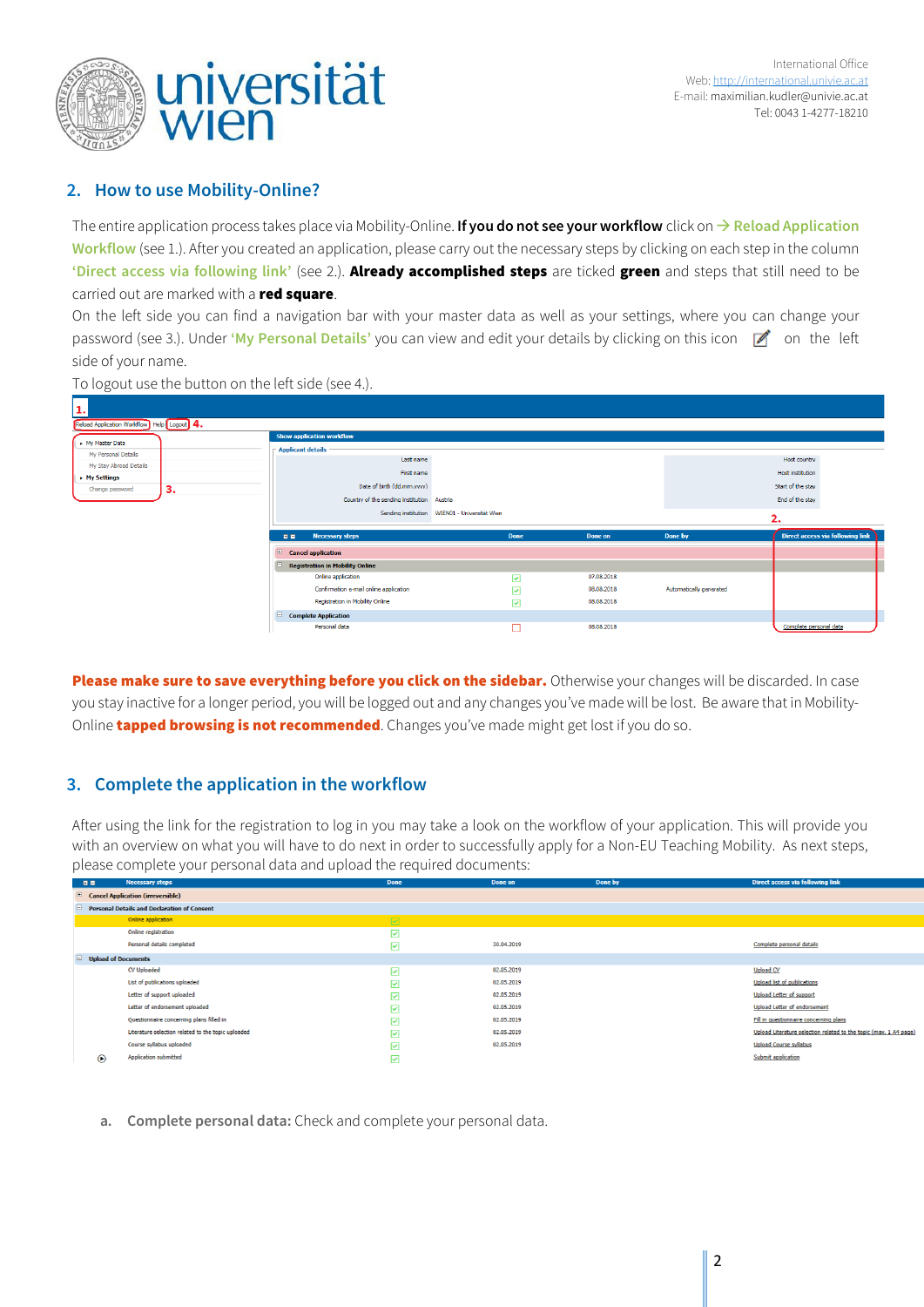

## **2. How to use Mobility-Online?**

The entire application process takes place via Mobility-Online. **If you do not see your workflow** click on **Reload Application Workflow** (see 1.). After you created an application, please carry out the necessary steps by clicking on each step in the column **'Direct access via following link'** (see 2.). Already accomplished steps are ticked green and steps that still need to be carried out are marked with a red square.

On the left side you can find a navigation bar with your master data as well as your settings, where you can change your password (see 3.). Under **'My Personal Details'** you can view and edit your details by clicking on this icon  $\mathcal{A}$  on the left side of your name.



To logout use the button on the left side (see 4.).

Please make sure to save everything before you click on the sidebar. Otherwise your changes will be discarded. In case you stay inactive for a longer period, you will be logged out and any changes you've made will be lost. Be aware that in Mobility-Online **tapped browsing is not recommended**. Changes you've made might get lost if you do so.

## **3. Complete the application in the workflow**

After using the link for the registration to log in you may take a look on the workflow of your application. This will provide you with an overview on what you will have to do next in order to successfully apply for a Non-EU Teaching Mobility. As next steps, please complete your personal data and upload the required documents:

| <b>DE</b>                                                | <b>Necessary steps</b>                             | <b>Done</b> | Done on    | Done by | Direct access via following link                                  |  |  |
|----------------------------------------------------------|----------------------------------------------------|-------------|------------|---------|-------------------------------------------------------------------|--|--|
| $\blacksquare$ Cancel Application (irreversible)         |                                                    |             |            |         |                                                                   |  |  |
| <b>Personal Details and Declaration of Consent</b><br>E. |                                                    |             |            |         |                                                                   |  |  |
|                                                          | Online application                                 | ☑           |            |         |                                                                   |  |  |
|                                                          | Online registration                                | 罓           |            |         |                                                                   |  |  |
|                                                          | Personal details completed                         | ☑           | 30.04.2019 |         | Complete personal details                                         |  |  |
| $\Box$<br><b>Upload of Documents</b>                     |                                                    |             |            |         |                                                                   |  |  |
|                                                          | CV Uploaded                                        | ☑           | 02.05.2019 |         | <b>Upload CV</b>                                                  |  |  |
|                                                          | List of publications uploaded                      | ☑           | 02.05.2019 |         | <b>Upload list of publications</b>                                |  |  |
|                                                          | Letter of support uploaded                         | ☑           | 02.05.2019 |         | <b>Upload Letter of support</b>                                   |  |  |
|                                                          | Letter of endorsement uploaded                     | ☑           | 02.05.2019 |         | <b>Upload Letter of endorsement</b>                               |  |  |
|                                                          | Questionnaire concerning plans filled in           | ☑           | 02.05.2019 |         | Fill in questionnaire concerning plans                            |  |  |
|                                                          | Literature selection related to the topic uploaded | М           | 02.05.2019 |         | Upload Literature selection related to the topic (max. 1 A4 page) |  |  |
|                                                          | Course syllabus uploaded                           | 罓           | 02.05.2019 |         | <b>Upload Course syllabus</b>                                     |  |  |
| $\odot$                                                  | Application submitted                              | ☑           |            |         | Submit application                                                |  |  |

**a. Complete personal data:** Check and complete your personal data.